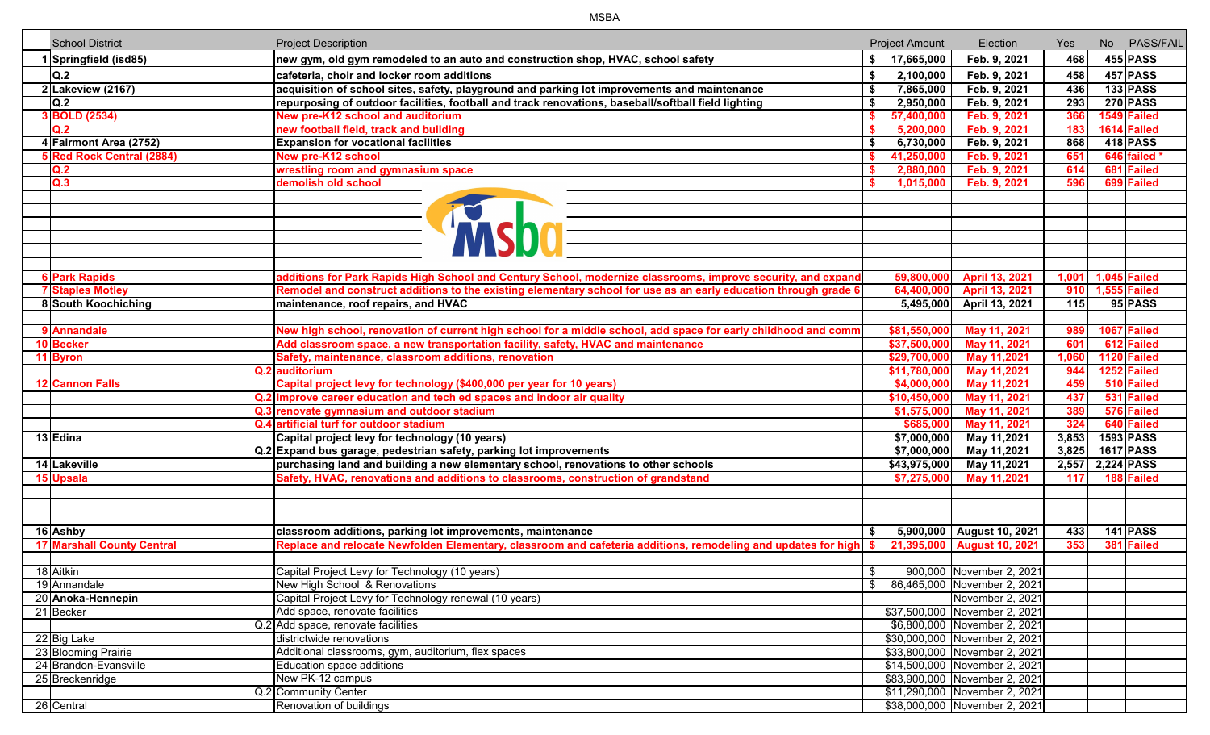| <b>School District</b>            | <b>Project Description</b>                                                                                           |    | <b>Project Amount</b> | Election                       | Yes   | No PASS/FAIL       |  |
|-----------------------------------|----------------------------------------------------------------------------------------------------------------------|----|-----------------------|--------------------------------|-------|--------------------|--|
| 1 Springfield (isd85)             | new gym, old gym remodeled to an auto and construction shop, HVAC, school safety                                     |    | \$ 17,665,000         | Feb. 9, 2021                   | 468   | $455$ PASS         |  |
| Q.2                               | cafeteria, choir and locker room additions                                                                           | \$ | 2,100,000             | Feb. 9, 2021                   | 458   | $457$ PASS         |  |
| 2 Lakeview (2167)                 | acquisition of school sites, safety, playground and parking lot improvements and maintenance                         | \$ | 7,865,000             | Feb. 9, 2021                   | 436   | <b>133 PASS</b>    |  |
| Q.2                               | repurposing of outdoor facilities, football and track renovations, baseball/softball field lighting                  | Ŝ. | 2,950,000             | Feb. 9, 2021                   | 293   | <b>270 PASS</b>    |  |
| 3 BOLD (2534)                     | New pre-K12 school and auditorium                                                                                    | S. | 57,400,000            | Feb. 9, 2021                   | 366   | 1549 Failed        |  |
| Q.2                               | new football field, track and building                                                                               |    | 5,200,000             | Feb. 9, 2021                   | 183   | 1614 Failed        |  |
| 4 Fairmont Area (2752)            | <b>Expansion for vocational facilities</b>                                                                           |    | 6,730,000             | Feb. 9, 2021                   | 868   | <b>418 PASS</b>    |  |
| 5 Red Rock Central (2884)         | <b>New pre-K12 school</b>                                                                                            |    | 41,250,000            | Feb. 9, 2021                   | 651   | 646 failed *       |  |
| Q.2                               | wrestling room and gymnasium space                                                                                   |    | 2,880,000             | Feb. 9, 2021                   | 614   | 681 Failed         |  |
| Q.3                               | demolish old school                                                                                                  |    | 1,015,000             | Feb. 9, 2021                   | 596   | 699 Failed         |  |
|                                   |                                                                                                                      |    |                       |                                |       |                    |  |
| <b>6 Park Rapids</b>              | additions for Park Rapids High School and Century School, modernize classrooms, improve security, and expand         |    |                       | 59,800,000 April 13, 2021      |       | 1,001 1,045 Failed |  |
| <b>7 Staples Motley</b>           | Remodel and construct additions to the existing elementary school for use as an early education through grade 6      |    |                       | 64,400,000 April 13, 2021      |       | 910 1,555 Failed   |  |
| 8 South Koochiching               | maintenance, roof repairs, and HVAC                                                                                  |    |                       | 5,495,000 April 13, 2021       | 115   | 95 PASS            |  |
|                                   |                                                                                                                      |    |                       |                                |       |                    |  |
| 9 Annandale                       | New high school, renovation of current high school for a middle school, add space for early childhood and comm       |    | \$81,550,000          | May 11, 2021                   | 989   | 1067 Failed        |  |
| 10 Becker                         | Add classroom space, a new transportation facility, safety, HVAC and maintenance                                     |    | \$37,500,000          | May 11, 2021                   | 601   | 612 Failed         |  |
| 11 Byron                          | Safety, maintenance, classroom additions, renovation                                                                 |    | \$29,700,000          | May 11,2021                    | 1,060 | 1120 Failed        |  |
|                                   | Q.2 auditorium                                                                                                       |    | \$11,780,000          | May 11,2021                    | 944   | 1252 Failed        |  |
| 12 Cannon Falls                   | Capital project levy for technology (\$400,000 per year for 10 years)                                                |    | \$4,000,000           | May 11,2021                    | 459   | 510 Failed         |  |
|                                   | Q.2 improve career education and tech ed spaces and indoor air quality                                               |    | \$10,450,000          | May 11, 2021                   | 437   | 531 Failed         |  |
|                                   | Q.3 renovate gymnasium and outdoor stadium                                                                           |    | \$1,575,000           | May 11, 2021                   | 389   | 576 Failed         |  |
|                                   | Q.4 artificial turf for outdoor stadium                                                                              |    | \$685,000             | May 11, 2021                   | 324   | 640 Failed         |  |
| 13 Edina                          | Capital project levy for technology (10 years)                                                                       |    | \$7,000,000           | May 11,2021                    | 3,853 | 1593 PASS          |  |
|                                   | Q.2 Expand bus garage, pedestrian safety, parking lot improvements                                                   |    | \$7,000,000           | May 11,2021                    | 3,825 | 1617 PASS          |  |
| 14 Lakeville                      | purchasing land and building a new elementary school, renovations to other schools                                   |    | \$43,975,000          | May 11,2021                    | 2,557 | 2,224 PASS         |  |
| 15 Upsala                         | Safety, HVAC, renovations and additions to classrooms, construction of grandstand                                    |    | \$7,275,000           | May 11,2021                    | 117   | 188 Failed         |  |
|                                   |                                                                                                                      |    |                       |                                |       |                    |  |
| 16 Ashby                          | classroom additions, parking lot improvements, maintenance                                                           |    |                       | 5,900,000 August 10, 2021      | 433   | $141$ PASS         |  |
| <b>17 Marshall County Central</b> | Replace and relocate Newfolden Elementary, classroom and cafeteria additions, remodeling and updates for high $ $ \$ |    |                       | 21,395,000 August 10, 2021     | 353   | 381 Failed         |  |
|                                   |                                                                                                                      |    |                       |                                |       |                    |  |
| 18 Aitkin                         | Capital Project Levy for Technology (10 years)                                                                       | \$ |                       | 900,000 November 2, 2021       |       |                    |  |
| 19 Annandale                      | New High School & Renovations                                                                                        |    |                       | \$ 86,465,000 November 2, 2021 |       |                    |  |
| 20 Anoka-Hennepin                 | Capital Project Levy for Technology renewal (10 years)                                                               |    |                       | November 2, 2021               |       |                    |  |
| 21 Becker                         | Add space, renovate facilities                                                                                       |    |                       | \$37,500,000 November 2, 2021  |       |                    |  |
|                                   | Q.2 Add space, renovate facilities                                                                                   |    |                       | \$6,800,000 November 2, 2021   |       |                    |  |
| 22 Big Lake                       | districtwide renovations                                                                                             |    |                       | \$30,000,000 November 2, 2021  |       |                    |  |
| 23 Blooming Prairie               | Additional classrooms, gym, auditorium, flex spaces                                                                  |    |                       | \$33,800,000 November 2, 2021  |       |                    |  |
| 24 Brandon-Evansville             | Education space additions                                                                                            |    |                       | \$14,500,000 November 2, 2021  |       |                    |  |
| 25 Breckenridge                   | New PK-12 campus                                                                                                     |    |                       | \$83,900,000 November 2, 2021  |       |                    |  |
|                                   | Q.2 Community Center                                                                                                 |    |                       | \$11,290,000 November 2, 2021  |       |                    |  |
| 26 Central                        | Renovation of buildings                                                                                              |    |                       | \$38,000,000 November 2, 2021  |       |                    |  |